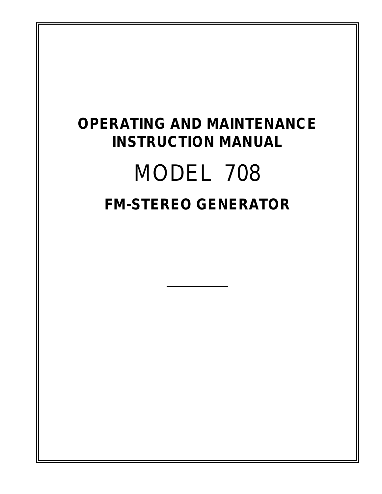# **OPERATING AND MAINTENANCE INSTRUCTION MANUAL** MODEL 708 **FM-STEREO GENERATOR**

**\_\_\_\_\_\_\_\_\_\_**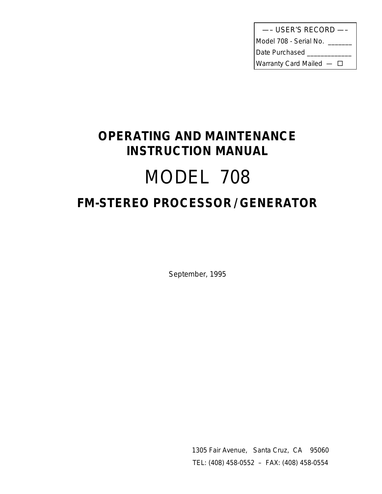| --- USER'S RECORD -           |
|-------------------------------|
| Model 708 - Serial No. ______ |
| Date Purchased                |
| Warranty Card Mailed $-\Box$  |

# **OPERATING AND MAINTENANCE INSTRUCTION MANUAL** MODEL 708

# **FM-STEREO PROCESSOR /GENERATOR**

September, 1995

1305 Fair Avenue, Santa Cruz, CA 95060 TEL: (408) 458-0552 – FAX: (408) 458-0554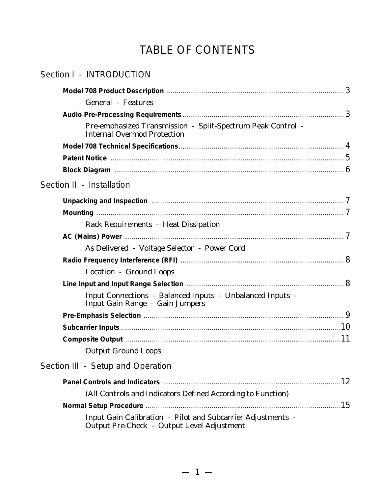# TABLE OF CONTENTS

| Section I - INTRODUCTION                                                                                                                                                                                                           |    |
|------------------------------------------------------------------------------------------------------------------------------------------------------------------------------------------------------------------------------------|----|
|                                                                                                                                                                                                                                    |    |
| General - Features                                                                                                                                                                                                                 |    |
|                                                                                                                                                                                                                                    |    |
| Pre-emphasized Transmission - Split-Spectrum Peak Control -<br><b>Internal Overmod Protection</b>                                                                                                                                  |    |
|                                                                                                                                                                                                                                    |    |
|                                                                                                                                                                                                                                    |    |
|                                                                                                                                                                                                                                    |    |
| Section II - Installation                                                                                                                                                                                                          |    |
|                                                                                                                                                                                                                                    |    |
|                                                                                                                                                                                                                                    |    |
| Rack Requirements - Heat Dissipation                                                                                                                                                                                               |    |
|                                                                                                                                                                                                                                    |    |
| As Delivered - Voltage Selector - Power Cord                                                                                                                                                                                       |    |
|                                                                                                                                                                                                                                    |    |
| Location - Ground Loops                                                                                                                                                                                                            |    |
|                                                                                                                                                                                                                                    |    |
| <b>Input Connections - Balanced Inputs - Unbalanced Inputs -</b><br><b>Input Gain Range - Gain Jumpers</b>                                                                                                                         |    |
|                                                                                                                                                                                                                                    |    |
|                                                                                                                                                                                                                                    |    |
|                                                                                                                                                                                                                                    |    |
| <b>Output Ground Loops Constant Constant Constant Constant Constant Constant Constant Constant Constant Constant Constant Constant Constant Constant Constant Constant Constant Constant Constant Constant Constant Constant C</b> |    |
| Section III - Setup and Operation                                                                                                                                                                                                  |    |
|                                                                                                                                                                                                                                    | 12 |
| (All Controls and Indicators Defined According to Function)                                                                                                                                                                        |    |
|                                                                                                                                                                                                                                    |    |
| <b>Input Gain Calibration - Pilot and Subcarrier Adjustments -</b><br>Output Pre-Check - Output Level Adjustment                                                                                                                   |    |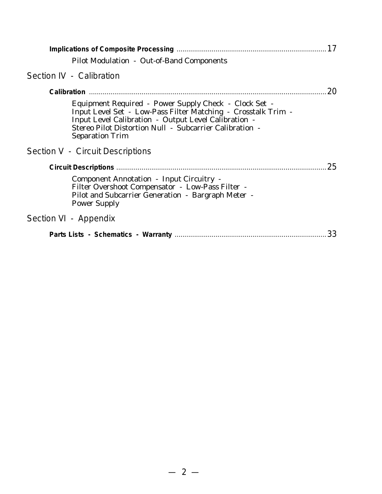|                          | Pilot Modulation - Out-of-Band Components                                                                                                                                                                                                                                  |  |
|--------------------------|----------------------------------------------------------------------------------------------------------------------------------------------------------------------------------------------------------------------------------------------------------------------------|--|
| Section IV - Calibration |                                                                                                                                                                                                                                                                            |  |
|                          | 20                                                                                                                                                                                                                                                                         |  |
|                          | Equipment Required - Power Supply Check - Clock Set -<br>Input Level Set - Low-Pass Filter Matching - Crosstalk Trim -<br><b>Input Level Calibration - Output Level Calibration -</b><br>Stereo Pilot Distortion Null - Subcarrier Calibration -<br><b>Separation Trim</b> |  |
|                          | Section V - Circuit Descriptions                                                                                                                                                                                                                                           |  |
|                          | 25                                                                                                                                                                                                                                                                         |  |
|                          | Component Annotation - Input Circuitry -<br>Filter Overshoot Compensator - Low-Pass Filter -<br>Pilot and Subcarrier Generation - Bargraph Meter -<br><b>Power Supply</b>                                                                                                  |  |
| Section VI - Appendix    |                                                                                                                                                                                                                                                                            |  |
|                          |                                                                                                                                                                                                                                                                            |  |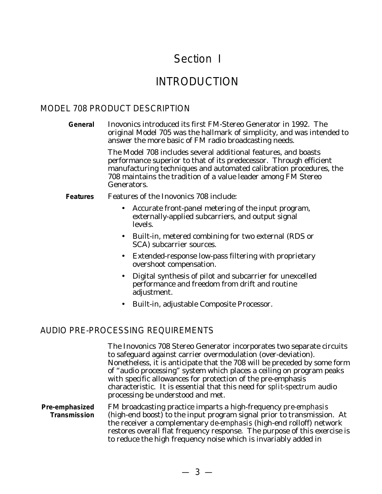# Section I

# INTRODUCTION

## MODEL 708 PRODUCT DESCRIPTION

**General** Inovonics introduced its first FM-Stereo Generator in 1992. The original Model 705 was the hallmark of simplicity, and was intended to answer the more basic of FM radio broadcasting needs.

> The Model 708 includes several additional features, and boasts performance superior to that of its predecessor. Through efficient manufacturing techniques and automated calibration procedures, the 708 maintains the tradition of a value leader among FM Stereo Generators.

- **Features** Features of the Inovonics 708 include:
	- Accurate front-panel metering of the input program, externally-applied subcarriers, and output signal levels.
	- Built-in, metered combining for two external (RDS or SCA) subcarrier sources.
	- Extended-response low-pass filtering with proprietary overshoot compensation.
	- Digital synthesis of pilot and subcarrier for unexcelled performance and freedom from drift and routine adjustment.
	- Built-in, adjustable Composite Processor.

## AUDIO PRE-PROCESSING REQUIREMENTS

The Inovonics 708 Stereo Generator incorporates two separate circuits to safeguard against carrier overmodulation (over-deviation). Nonetheless, it is anticipate that the 708 will be preceded by some form of "audio processing" system which places a ceiling on program peaks with specific allowances for protection of the pre-emphasis characteristic. It is essential that this need for *split-spectrum* audio processing be understood and met.

**Pre-emphasized Transmission** FM broadcasting practice imparts a high-frequency *pre-emphasis* (high-end boost) to the input program signal prior to transmission. At the receiver a complementary *de-emphasis* (high-end rolloff) network restores overall flat frequency response. The purpose of this exercise is to reduce the high frequency noise which is invariably added in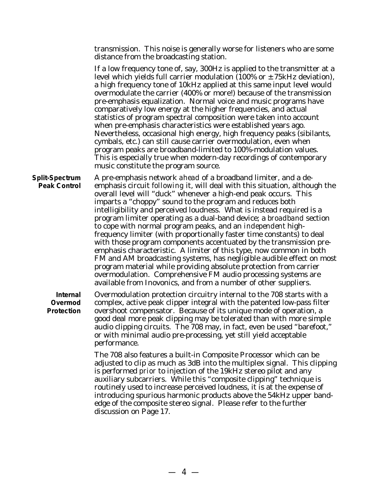transmission. This noise is generally worse for listeners who are some distance from the broadcasting station.

If a low frequency tone of, say, 300Hz is applied to the transmitter at a level which yields full carrier modulation (100% or  $\pm$  75kHz deviation), a high frequency tone of 10kHz applied at this same input level would overmodulate the carrier (400% or more!) because of the transmission pre-emphasis equalization. Normal voice and music programs have comparatively low energy at the higher frequencies, and actual statistics of program spectral composition were taken into account when pre-emphasis characteristics were established years ago. Nevertheless, occasional high energy, high frequency peaks (sibilants, cymbals, etc.) can still cause carrier overmodulation, even when program peaks are broadband-limited to 100%-modulation values. This is especially true when modern-day recordings of contemporary music constitute the program source.

**Split-Spectrum Peak Control** A pre-emphasis network *ahead* of a broadband limiter, and a deemphasis circuit *following* it, will deal with this situation, although the overall level will "duck" whenever a high-end peak occurs. This imparts a "choppy" sound to the program and reduces both intelligibility and perceived loudness. What is instead required is a program limiter operating as a dual-band device; a *broadband* section to cope with normal program peaks, and an *independent* highfrequency limiter (with proportionally faster time constants) to deal with those program components accentuated by the transmission preemphasis characteristic. A limiter of this type, now common in both FM and AM broadcasting systems, has negligible audible effect on most program material while providing absolute protection from carrier overmodulation. Comprehensive FM audio processing systems are available from Inovonics, and from a number of other suppliers.

**Internal Overmod Protection** Overmodulation protection circuitry internal to the 708 starts with a complex, active peak clipper integral with the patented low-pass filter overshoot compensator. Because of its unique mode of operation, a good deal more peak clipping may be tolerated than with more simple audio clipping circuits. The 708 may, in fact, even be used "barefoot," or with minimal audio pre-processing, yet still yield acceptable performance.

> The 708 also features a built-in Composite Processor which can be adjusted to clip as much as 3dB into the multiplex signal. This clipping is performed *prior* to injection of the 19kHz stereo pilot and any auxiliary subcarriers. While this "composite clipping" technique is routinely used to increase perceived loudness, it is at the expense of introducing spurious harmonic products above the 54kHz upper bandedge of the composite stereo signal. Please refer to the further discussion on Page 17.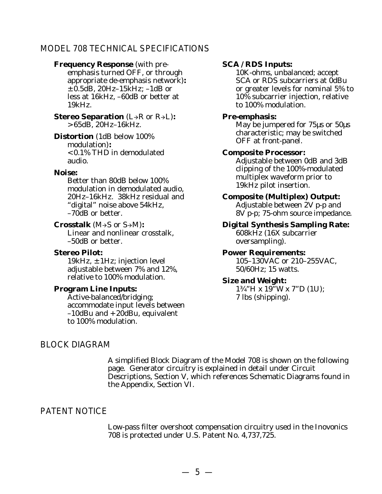#### MODEL 708 TECHNICAL SPECIFICATIONS

#### **Frequency Response** (with pre-

emphasis turned OFF, or through appropriate de-emphasis network)**:**  $\pm$  0.5dB, 20Hz-15kHz; -1dB or less at 16kHz, –60dB or better at 19kHz.

**Stereo Separation** (L $\rightarrow$ R or R $\rightarrow$ L):  $>65$ dB, 20Hz-16kHz.

**Distortion** (1dB below 100% modulation)**:** <0.1% THD in demodulated audio.

#### **Noise:**

Better than 80dB below 100% modulation in demodulated audio, 20Hz–16kHz. 38kHz residual and "digital" noise above 54kHz, –70dB or better.

**Crosstalk** (M $\rightarrow$ S or S $\rightarrow$ M): Linear and nonlinear crosstalk, –50dB or better.

#### **Stereo Pilot:**

19kHz,  $\pm$  1Hz; injection level adjustable between 7% and 12%, relative to 100% modulation.

#### **Program Line Inputs:**

Active-balanced/bridging; accommodate input levels between –10dBu and +20dBu, equivalent to 100% modulation.

#### **SCA / RDS Inputs:**

10K-ohms, unbalanced; accept SCA or RDS subcarriers at 0dBu or greater levels for nominal 5% to 10% subcarrier injection, relative to 100% modulation.

#### **Pre-emphasis:**

May be jumpered for 75 $\mu$ s or 50 $\mu$ s characteristic; may be switched OFF at front-panel.

#### **Composite Processor:**

Adjustable between 0dB and 3dB clipping of the 100%-modulated multiplex waveform prior to 19kHz pilot insertion.

#### **Composite (Multiplex) Output:**

Adjustable between 2V p-p and 8V p-p; 75-ohm source impedance.

## **Digital Synthesis Sampling Rate:**

608kHz (16X subcarrier oversampling).

#### **Power Requirements:**

105–130VAC or 210–255VAC, 50/60Hz; 15 watts.

#### **Size and Weight:**

1¾"H x 19"W x 7"D (1U); 7 lbs (shipping).

#### BLOCK DIAGRAM

A simplified Block Diagram of the Model 708 is shown on the following page. Generator circuitry is explained in detail under Circuit Descriptions, Section V, which references Schematic Diagrams found in the Appendix, Section VI.

#### PATENT NOTICE

Low-pass filter overshoot compensation circuitry used in the Inovonics 708 is protected under U.S. Patent No. 4,737,725.

 $-5 -$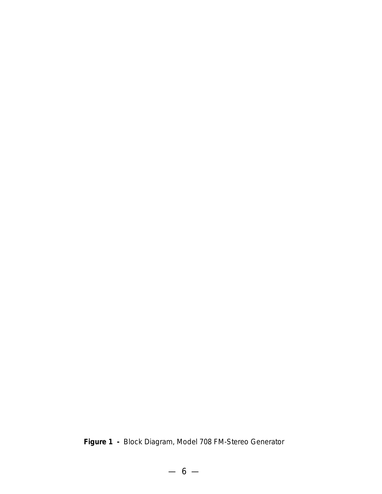**Figure 1 -** Block Diagram, Model 708 FM-Stereo Generator

 $-6 -$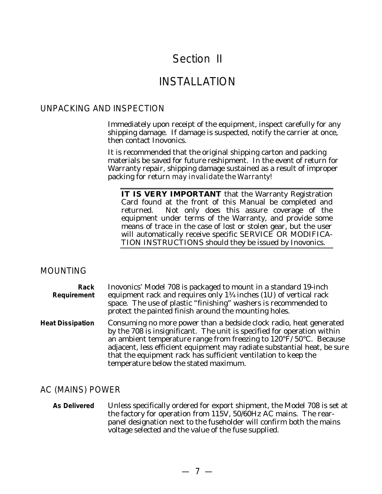# Section II

## INSTALLATION

#### UNPACKING AND INSPECTION

Immediately upon receipt of the equipment, inspect carefully for any shipping damage. If damage is suspected, notify the carrier at once, then contact Inovonics.

It is recommended that the original shipping carton and packing materials be saved for future reshipment. In the event of return for Warranty repair, shipping damage sustained as a result of improper packing for return *may invalidate the Warranty!*

**IT IS VERY IMPORTANT** that the Warranty Registration Card found at the front of this Manual be completed and returned. Not only does this assure coverage of the equipment under terms of the Warranty, and provide some means of trace in the case of lost or stolen gear, but the user will automatically receive specific SERVICE OR MODIFICA-TION INSTRUCTIONS should they be issued by Inovonics.

#### MOUNTING

| Rack<br>Requirement     | Inovonics' Model 708 is packaged to mount in a standard 19-inch<br>equipment rack and requires only 1 <sup>3</sup> / <sub>4</sub> inches (1U) of vertical rack<br>space. The use of plastic "finishing" washers is recommended to<br>protect the painted finish around the mounting holes.                                                                                                                                     |
|-------------------------|--------------------------------------------------------------------------------------------------------------------------------------------------------------------------------------------------------------------------------------------------------------------------------------------------------------------------------------------------------------------------------------------------------------------------------|
| <b>Heat Dissipation</b> | Consuming no more power than a bedside clock radio, heat generated<br>by the 708 is insignificant. The unit is specified for operation within<br>an ambient temperature range from freezing to $120^{\circ}$ F/ $50^{\circ}$ C. Because<br>adjacent, less efficient equipment may radiate substantial heat, be sure<br>that the equipment rack has sufficient ventilation to keep the<br>temperature below the stated maximum. |

## AC (MAINS) POWER

**As Delivered** Unless specifically ordered for export shipment, the Model 708 is set at the factory for operation from 115V, 50/60Hz AC mains. The rearpanel designation next to the fuseholder will confirm both the mains voltage selected and the value of the fuse supplied.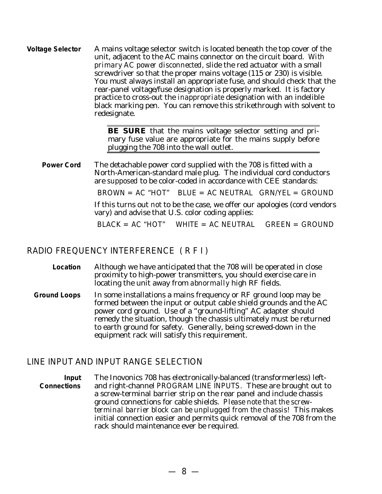| <b>Voltage Selector</b> | A mains voltage selector switch is located beneath the top cover of the<br>unit, adjacent to the AC mains connector on the circuit board. With<br>primary AC power disconnected, slide the red actuator with a small<br>screwdriver so that the proper mains voltage (115 or 230) is visible.<br>You must always install an appropriate fuse, and should check that the<br>rear-panel voltage/fuse designation is properly marked. It is factory<br>practice to cross-out the <i>inappropriate</i> designation with an indelible |
|-------------------------|----------------------------------------------------------------------------------------------------------------------------------------------------------------------------------------------------------------------------------------------------------------------------------------------------------------------------------------------------------------------------------------------------------------------------------------------------------------------------------------------------------------------------------|
|                         | black marking pen. You can remove this strikethrough with solvent to<br>redesignate.                                                                                                                                                                                                                                                                                                                                                                                                                                             |

**BE SURE** that the mains voltage selector setting and primary fuse value are appropriate for the mains supply before plugging the 708 into the wall outlet.

#### **Power Cord** The detachable power cord supplied with the 708 is fitted with a North-American-standard male plug. The individual cord conductors are *supposed* to be color-coded in accordance with CEE standards:

 $BROWN = AC <sup>''</sup>HOT''$  BLUE = AC NEUTRAL GRN/YEL = GROUND

If this turns out *not* to be the case, we offer our apologies (cord vendors vary) and advise that U.S. color coding applies:

 $BLACK = AC$  "HOT" WHITE = AC NEUTRAL GREEN = GROUND

## RADIO FREQUENCY INTERFERENCE ( R F I )

- **Location** Although we have anticipated that the 708 will be operated in close proximity to high-power transmitters, you should exercise care in locating the unit away from *abnormally* high RF fields.
- **Ground Loops** In some installations a mains frequency or RF ground loop may be formed between the input or output cable shield grounds and the AC power cord ground. Use of a "ground-lifting" AC adapter should remedy the situation, though the chassis ultimately must be returned to earth ground for safety. Generally, being screwed-down in the equipment rack will satisfy this requirement.

#### LINE INPUT AND INPUT RANGE SELECTION

**Input Connections** The Inovonics 708 has electronically-balanced (transformerless) leftand right-channel PROGRAM LINE INPUTS. These are brought out to a screw-terminal barrier strip on the rear panel and include chassis ground connections for cable shields. *Please note that the screwterminal barrier block can be unplugged from the chassis!* This makes initial connection easier and permits quick removal of the 708 from the rack should maintenance ever be required.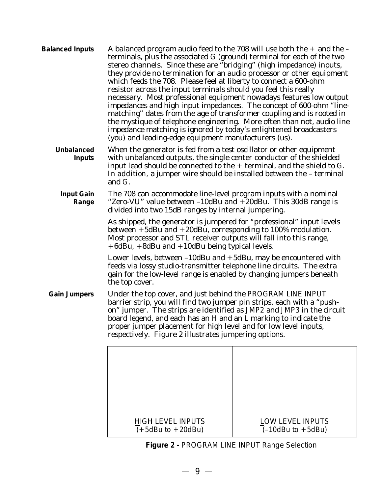- **Balanced Inputs** A balanced program audio feed to the 708 will use both the + and the terminals, plus the associated G (ground) terminal for each of the two stereo channels. Since these are "bridging" (high impedance) inputs, they provide no termination for an audio processor or other equipment which feeds the 708. Please feel at liberty to connect a 600-ohm resistor across the input terminals should you feel this really necessary. Most professional equipment nowadays features low output impedances and high input impedances. The concept of 600-ohm "linematching" dates from the age of transformer coupling and is rooted in the mystique of telephone engineering. More often than not, audio line impedance matching is ignored by today's enlightened broadcasters (you) and leading-edge equipment manufacturers (us).
	- **Unbalanced Inputs** When the generator is fed from a test oscillator or other equipment with unbalanced outputs, the single center conductor of the shielded input lead should be connected to the  $+$  terminal, and the shield to G. *In addition,* a jumper wire should be installed between the – terminal and G.
		- **Input Gain Range** The 708 can accommodate line-level program inputs with a nominal "Zero-VU" value between –10dBu and +20dBu. This 30dB range is divided into two 15dB ranges by internal jumpering.

As shipped, the generator is jumpered for "professional" input levels between +5dBu and +20dBu, corresponding to 100% modulation. Most processor and STL receiver outputs will fall into this range, +6dBu, +8dBu and +10dBu being typical levels.

Lower levels, between –10dBu and +5dBu, may be encountered with feeds via lossy studio-transmitter telephone line circuits. The extra gain for the low-level range is enabled by changing jumpers beneath the top cover.

**Gain Jumpers** Under the top cover, and just behind the PROGRAM LINE INPUT barrier strip, you will find two jumper pin strips, each with a "pushon" jumper. The strips are identified as JMP2 and JMP3 in the circuit board legend, and each has an H and an L marking to indicate the proper jumper placement for high level and for low level inputs, respectively. Figure 2 illustrates jumpering options.



**Figure 2 -** PROGRAM LINE INPUT Range Selection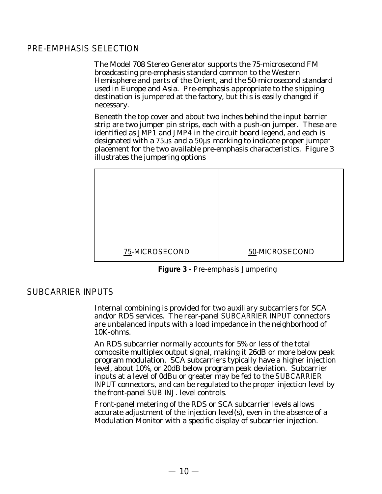## PRE-EMPHASIS SELECTION

The Model 708 Stereo Generator supports the 75-microsecond FM broadcasting pre-emphasis standard common to the Western Hemisphere and parts of the Orient, and the 50-microsecond standard used in Europe and Asia. Pre-emphasis appropriate to the shipping destination is jumpered at the factory, but this is easily changed if necessary.

Beneath the top cover and about two inches behind the input barrier strip are two jumper pin strips, each with a push-on jumper. These are identified as JMP1 and JMP4 in the circuit board legend, and each is designated with a 75µs and a 50µs marking to indicate proper jumper placement for the two available pre-emphasis characteristics. Figure 3 illustrates the jumpering options



**Figure 3 -** Pre-emphasis Jumpering

## SUBCARRIER INPUTS

Internal combining is provided for two auxiliary subcarriers for SCA and/or RDS services. The rear-panel SUBCARRIER INPUT connectors are unbalanced inputs with a load impedance in the neighborhood of 10K-ohms.

An RDS subcarrier normally accounts for 5% or less of the total composite multiplex output signal, making it 26dB or more below peak program modulation. SCA subcarriers typically have a higher injection level, about 10%, or 20dB below program peak deviation. Subcarrier inputs at a level of 0dBu or greater may be fed to the SUBCARRIER INPUT connectors, and can be regulated to the proper injection level by the front-panel SUB INJ. level controls.

Front-panel metering of the RDS or SCA subcarrier levels allows accurate adjustment of the injection level(s), even in the absence of a Modulation Monitor with a specific display of subcarrier injection.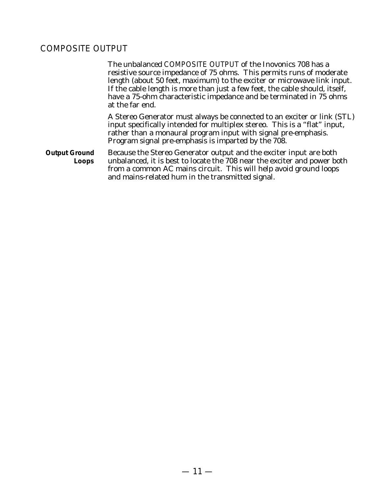## COMPOSITE OUTPUT

The unbalanced COMPOSITE OUTPUT of the Inovonics 708 has a resistive source impedance of 75 ohms. This permits runs of moderate length (about 50 feet, maximum) to the exciter or microwave link input. If the cable length is more than just a few feet, the cable should, itself, have a 75-ohm characteristic impedance and be terminated in 75 ohms at the far end.

A Stereo Generator must always be connected to an exciter or link (STL) input specifically intended for multiplex stereo. This is a "flat" input, rather than a monaural program input with signal pre-emphasis. Program signal pre-emphasis is imparted by the 708.

**Output Ground Loops** Because the Stereo Generator output and the exciter input are both unbalanced, it is best to locate the 708 near the exciter and power both from a common AC mains circuit. This will help avoid ground loops and mains-related hum in the transmitted signal.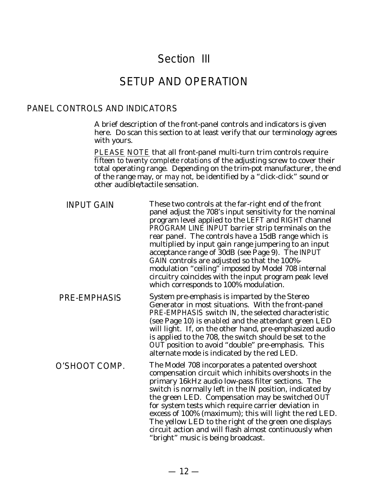# Section III

## SETUP AND OPERATION

#### PANEL CONTROLS AND INDICATORS

A brief description of the front-panel controls and indicators is given here. Do scan this section to at least verify that our terminology agrees with yours.

*PLEASE NOTE* that all front-panel multi-turn trim controls require *fifteen to twenty complete rotations* of the adjusting screw to cover their total operating range. Depending on the trim-pot manufacturer, the end of the range may, *or may not,* be identified by a "click-click" sound or other audible/tactile sensation.

| <b>INPUT GAIN</b>   | These two controls at the far-right end of the front<br>panel adjust the 708's input sensitivity for the nominal<br>program level applied to the LEFT and RIGHT channel<br>PROGRAM LINE INPUT barrier strip terminals on the<br>rear panel. The controls have a 15dB range which is<br>multiplied by input gain range jumpering to an input<br>acceptance range of 30dB (see Page 9). The INPUT<br>GAIN controls are adjusted so that the 100%-<br>modulation "ceiling" imposed by Model 708 internal<br>circuitry coincides with the input program peak level<br>which corresponds to 100% modulation. |
|---------------------|---------------------------------------------------------------------------------------------------------------------------------------------------------------------------------------------------------------------------------------------------------------------------------------------------------------------------------------------------------------------------------------------------------------------------------------------------------------------------------------------------------------------------------------------------------------------------------------------------------|
| <b>PRE-EMPHASIS</b> | System pre-emphasis is imparted by the Stereo<br>Generator in most situations. With the front-panel<br>PRE-EMPHASIS switch IN, the selected characteristic<br>(see Page 10) is enabled and the attendant green LED<br>will light. If, on the other hand, pre-emphasized audio<br>is applied to the 708, the switch should be set to the<br>OUT position to avoid "double" pre-emphasis. This<br>alternate mode is indicated by the red LED.                                                                                                                                                             |
| O'SHOOT COMP.       | The Model 708 incorporates a patented overshoot<br>compensation circuit which inhibits overshoots in the<br>primary 16kHz audio low-pass filter sections. The<br>switch is normally left in the IN position, indicated by<br>the green LED. Compensation may be switched OUT<br>for system tests which require carrier deviation in<br>excess of 100% (maximum); this will light the red LED.<br>The yellow LED to the right of the green one displays<br>circuit action and will flash almost continuously when<br>"bright" music is being broadcast.                                                  |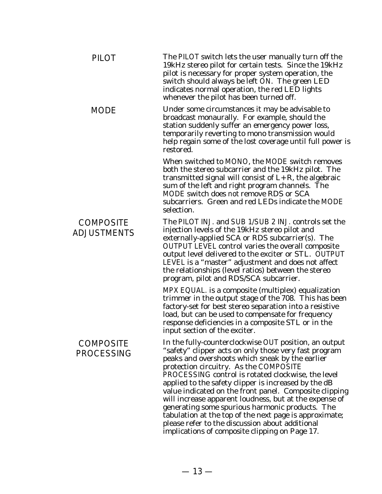| <b>PILOT</b>                           | The PILOT switch lets the user manually turn off the<br>19kHz stereo pilot for certain tests. Since the 19kHz<br>pilot is necessary for proper system operation, the<br>switch should always be left ON. The green LED<br>indicates normal operation, the red LED lights<br>whenever the pilot has been turned off.                                                                                                                                                                                                                                                                                                                                             |
|----------------------------------------|-----------------------------------------------------------------------------------------------------------------------------------------------------------------------------------------------------------------------------------------------------------------------------------------------------------------------------------------------------------------------------------------------------------------------------------------------------------------------------------------------------------------------------------------------------------------------------------------------------------------------------------------------------------------|
| <b>MODE</b>                            | Under some circumstances it may be advisable to<br>broadcast monaurally. For example, should the<br>station suddenly suffer an emergency power loss,<br>temporarily reverting to mono transmission would<br>help regain some of the lost coverage until full power is<br>restored.                                                                                                                                                                                                                                                                                                                                                                              |
|                                        | When switched to MONO, the MODE switch removes<br>both the stereo subcarrier and the 19kHz pilot. The<br>transmitted signal will consist of $L + R$ , the algebraic<br>sum of the left and right program channels. The<br>MODE switch does not remove RDS or SCA<br>subcarriers. Green and red LEDs indicate the MODE<br>selection.                                                                                                                                                                                                                                                                                                                             |
| <b>COMPOSITE</b><br><b>ADJUSTMENTS</b> | The PILOT INJ. and SUB 1/SUB 2 INJ. controls set the<br>injection levels of the 19kHz stereo pilot and<br>externally-applied SCA or RDS subcarrier(s). The<br><b>OUTPUT LEVEL control varies the overall composite</b><br>output level delivered to the exciter or STL. OUTPUT<br>LEVEL is a "master" adjustment and does not affect<br>the relationships (level ratios) between the stereo<br>program, pilot and RDS/SCA subcarrier.                                                                                                                                                                                                                           |
|                                        | MPX EQUAL. is a composite (multiplex) equalization<br>trimmer in the output stage of the 708. This has been<br>factory-set for best stereo separation into a resistive<br>load, but can be used to compensate for frequency<br>response deficiencies in a composite STL or in the<br>input section of the exciter.                                                                                                                                                                                                                                                                                                                                              |
| <b>COMPOSITE</b><br><b>PROCESSING</b>  | In the fully-counterclockwise OUT position, an output<br>"safety" clipper acts on only those very fast program<br>peaks and overshoots which sneak by the earlier<br>protection circuitry. As the COMPOSITE<br>PROCESSING control is rotated clockwise, the level<br>applied to the safety clipper is increased by the dB<br>value indicated on the front panel. Composite clipping<br>will increase apparent loudness, but at the expense of<br>generating some spurious harmonic products. The<br>tabulation at the top of the next page is approximate;<br>please refer to the discussion about additional<br>implications of composite clipping on Page 17. |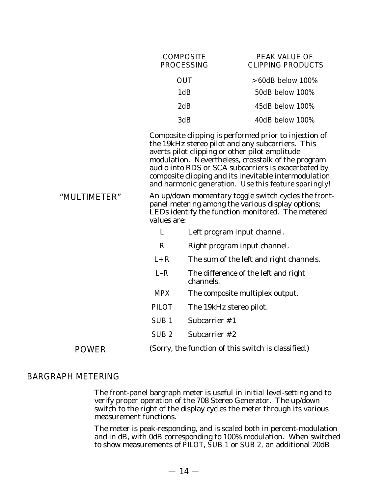|              |                  | <b>COMPOSITE</b><br><b>PROCESSING</b>          | PEAK VALUE OF<br><b>CLIPPING PRODUCTS</b>                                                                                                                                                                                                                                                                                                      |
|--------------|------------------|------------------------------------------------|------------------------------------------------------------------------------------------------------------------------------------------------------------------------------------------------------------------------------------------------------------------------------------------------------------------------------------------------|
|              |                  | <b>OUT</b>                                     | $>60$ dB below 100%                                                                                                                                                                                                                                                                                                                            |
|              |                  | 1dB                                            | 50dB below 100%                                                                                                                                                                                                                                                                                                                                |
|              |                  | 2dB                                            | 45dB below 100%                                                                                                                                                                                                                                                                                                                                |
|              |                  | 3dB                                            | 40dB below 100%                                                                                                                                                                                                                                                                                                                                |
|              |                  | averts pilot clipping or other pilot amplitude | Composite clipping is performed <i>prior</i> to injection of<br>the 19kHz stereo pilot and any subcarriers. This<br>modulation. Nevertheless, crosstalk of the program<br>audio into RDS or SCA subcarriers is exacerbated by<br>composite clipping and its inevitable intermodulation<br>and harmonic generation. Use this feature sparingly! |
| "MULTIMETER" | values are:      |                                                | An up/down momentary toggle switch cycles the front-<br>panel metering among the various display options;<br>LEDs identify the function monitored. The metered                                                                                                                                                                                 |
|              | L                | Left program input channel.                    |                                                                                                                                                                                                                                                                                                                                                |
|              | R                | Right program input channel.                   |                                                                                                                                                                                                                                                                                                                                                |
|              | $L + R$          |                                                | The sum of the left and right channels.                                                                                                                                                                                                                                                                                                        |
|              | $L-R$            | channels.                                      | The difference of the left and right                                                                                                                                                                                                                                                                                                           |
|              | <b>MPX</b>       |                                                | The composite multiplex output.                                                                                                                                                                                                                                                                                                                |
|              | <b>PILOT</b>     | The 19kHz stereo pilot.                        |                                                                                                                                                                                                                                                                                                                                                |
|              | SUB <sub>1</sub> | Subcarrier #1                                  |                                                                                                                                                                                                                                                                                                                                                |
|              | SUB <sub>2</sub> | Subcarrier #2                                  |                                                                                                                                                                                                                                                                                                                                                |
| <b>POWER</b> |                  |                                                | (Sorry, the function of this switch is classified.)                                                                                                                                                                                                                                                                                            |
|              |                  |                                                |                                                                                                                                                                                                                                                                                                                                                |

#### BARGRAPH METERING

The front-panel bargraph meter is useful in initial level-setting and to verify proper operation of the 708 Stereo Generator. The up/down switch to the right of the display cycles the meter through its various measurement functions.

The meter is peak-responding, and is scaled both in percent-modulation and in dB, with 0dB corresponding to 100% modulation. When switched to show measurements of PILOT, SUB 1 or SUB 2, an additional 20dB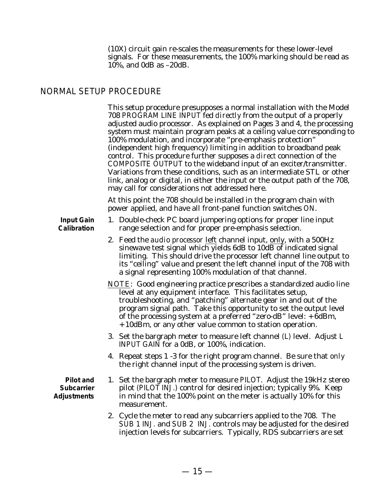(10X) circuit gain re-scales the measurements for these lower-level signals. For these measurements, the 100% marking should be read as 10%, and 0dB as –20dB.

#### NORMAL SETUP PROCEDURE

This setup procedure presupposes a normal installation with the Model 708 PROGRAM LINE INPUT fed *directly* from the output of a properly adjusted audio processor. As explained on Pages 3 and 4, the processing system must maintain program peaks at a ceiling value corresponding to 100% modulation, and incorporate "pre-emphasis protection" (independent high frequency) limiting in addition to broadband peak control. This procedure further supposes a *direct* connection of the COMPOSITE OUTPUT to the wideband input of an exciter/transmitter. Variations from these conditions, such as an intermediate STL or other link, analog or digital, in either the input or the output path of the 708, may call for considerations not addressed here.

At this point the 708 should be installed in the program chain with power applied, and have all front-panel function switches ON.

**Input Gain Calibration**

- 1. Double-check PC board jumpering options for proper line input range selection and for proper pre-emphasis selection.
- 2. Feed the *audio processor* left channel input, only, with a 500Hz sinewave test signal which yields 6dB to 10dB of indicated signal limiting. This should drive the processor left channel line output to its "ceiling" value and present the left channel input of the 708 with a signal representing 100% modulation of that channel.
- *NOTE*: Good engineering practice prescribes a standardized audio line level at any equipment interface. This facilitates setup, troubleshooting, and "patching" alternate gear in and out of the program signal path. Take this opportunity to set the output level of the processing system at a preferred "zero-dB" level: +6dBm, +10dBm, or any other value common to station operation.
- 3. Set the bargraph meter to measure left channel (L) level. Adjust L INPUT GAIN for a 0dB, or 100%, indication.
- 4. Repeat steps 1 -3 for the right program channel. Be sure that *only* the right channel input of the processing system is driven.

**Pilot and Subcarrier Adjustments**

- 1. Set the bargraph meter to measure PILOT. Adjust the 19kHz stereo pilot (PILOT INJ.) control for desired injection; typically 9%. Keep in mind that the 100% point on the meter is actually 10% for this measurement.
- 2. Cycle the meter to read any subcarriers applied to the 708. The SUB 1 INJ. and SUB 2 INJ. controls may be adjusted for the desired injection levels for subcarriers. Typically, RDS subcarriers are set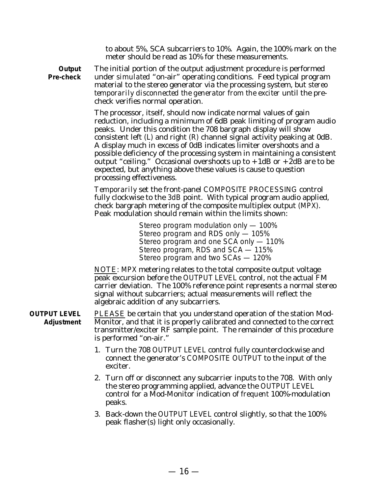to about 5%, SCA subcarriers to 10%. Again, the 100% mark on the meter should be read as 10% for these measurements.

**Output Pre-check** The initial portion of the output adjustment procedure is performed under *simulated* "on-air" operating conditions. Feed typical program material to the stereo generator via the processing system, but *stereo temporarily disconnected the generator from the exciter* until the precheck verifies normal operation.

> The processor, itself, should now indicate normal values of gain reduction, including a minimum of 6dB peak limiting of program audio peaks. Under this condition the 708 bargraph display will show consistent left (L) and right (R) channel signal activity peaking at 0dB. A display much in excess of 0dB indicates limiter overshoots and a possible deficiency of the processing system in maintaining a consistent output "ceiling." Occasional overshoots up to  $+1dB$  or  $+2dB$  are to be expected, but anything above these values is cause to question processing effectiveness.

*Temporarily* set the front-panel COMPOSITE PROCESSING control fully clockwise to the 3dB point. With typical program audio applied, check bargraph metering of the composite multiplex output (MPX). Peak modulation should remain within the limits shown:

> Stereo program modulation only — 100% Stereo program and RDS only — 105% Stereo program and one SCA only — 110% Stereo program, RDS and SCA — 115% Stereo program and two SCAs — 120%

*NOTE:* MPX metering relates to the total composite output voltage peak excursion before the OUTPUT LEVEL control, *not* the actual FM carrier deviation. The 100% reference point represents a normal stereo signal without subcarriers; actual measurements will reflect the algebraic addition of any subcarriers.

**OUTPUT LEVEL Adjustment** *PLEASE* be certain that you understand operation of the station Mod-Monitor, and that it is properly calibrated and connected to the correct transmitter/exciter RF sample point. The remainder of this procedure is performed "on-air."

- 1. Turn the 708 OUTPUT LEVEL control fully counterclockwise and connect the generator's COMPOSITE OUTPUT to the input of the exciter.
- 2. Turn off or disconnect any subcarrier inputs to the 708. With only the stereo programming applied, advance the OUTPUT LEVEL control for a Mod-Monitor indication of *frequent* 100%-modulation peaks.
- 3. Back-down the OUTPUT LEVEL control slightly, so that the 100% peak flasher(s) light only occasionally.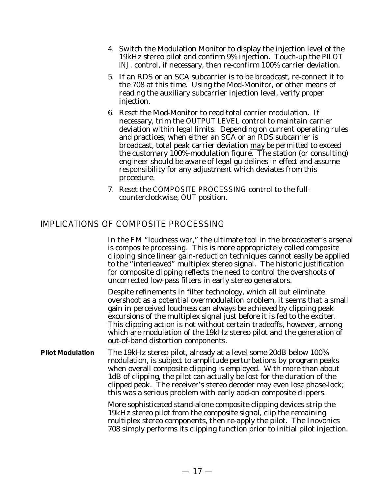- 4. Switch the Modulation Monitor to display the injection level of the 19kHz stereo pilot and confirm 9% injection. Touch-up the PILOT INJ. control, if necessary, then re-confirm 100% carrier deviation.
- 5. If an RDS or an SCA subcarrier is to be broadcast, re-connect it to the 708 at this time. Using the Mod-Monitor, or other means of reading the auxiliary subcarrier injection level, verify proper injection.
- 6. Reset the Mod-Monitor to read total carrier modulation. If necessary, trim the OUTPUT LEVEL control to maintain carrier deviation within legal limits. Depending on current operating rules and practices, when either an SCA or an RDS subcarrier is broadcast, total peak carrier deviation *may be permitted* to exceed the customary 100%-modulation figure. The station (or consulting) engineer should be aware of legal guidelines in effect and assume responsibility for any adjustment which deviates from this procedure.
- 7. Reset the COMPOSITE PROCESSING control to the fullcounterclockwise, OUT position.

## IMPLICATIONS OF COMPOSITE PROCESSING

In the FM "loudness war," the ultimate tool in the broadcaster's arsenal is *composite processing*. This is more appropriately called *composite clipping* since linear gain-reduction techniques cannot easily be applied to the "interleaved" multiplex stereo signal. The historic justification for composite clipping reflects the need to control the overshoots of uncorrected low-pass filters in early stereo generators.

Despite refinements in filter technology, which all but eliminate overshoot as a potential overmodulation problem, it seems that a small gain in perceived loudness can always be achieved by clipping peak excursions of the multiplex signal just before it is fed to the exciter. This clipping action is not without certain tradeoffs, however, among which are modulation of the 19kHz stereo pilot and the generation of out-of-band distortion components.

**Pilot Modulation** The 19kHz stereo pilot, already at a level some 20dB below 100% modulation, is subject to amplitude perturbations by program peaks when overall composite clipping is employed. With more than about 1dB of clipping, the pilot can actually be lost for the duration of the clipped peak. The receiver's stereo decoder may even lose phase-lock; this was a serious problem with early add-on composite clippers.

> More sophisticated stand-alone composite clipping devices strip the 19kHz stereo pilot from the composite signal, clip the remaining multiplex stereo components, then re-apply the pilot. The Inovonics 708 simply performs its clipping function prior to initial pilot injection.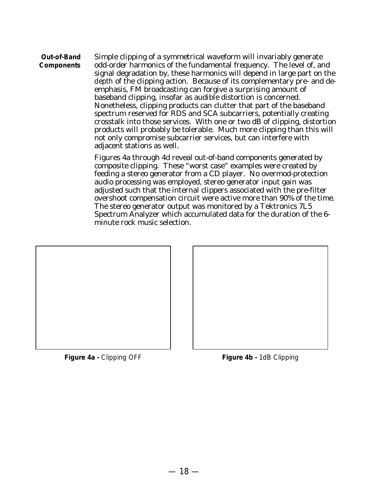**Out-of-Band Components** Simple clipping of a symmetrical waveform will invariably generate odd-order harmonics of the fundamental frequency. The level of, and signal degradation by, these harmonics will depend in large part on the *depth* of the clipping action. Because of its complementary pre- and deemphasis, FM broadcasting can forgive a surprising amount of baseband clipping, insofar as audible distortion is concerned. Nonetheless, clipping products can clutter that part of the baseband spectrum reserved for RDS and SCA subcarriers, potentially creating crosstalk into those services. With one or two dB of clipping, distortion products will probably be tolerable. Much more clipping than this will not only compromise subcarrier services, but can interfere with adjacent stations as well.

> Figures 4a through 4d reveal out-of-band components generated by composite clipping. These "worst case" examples were created by feeding a stereo generator from a CD player. No overmod-protection audio processing was employed, stereo generator input gain was adjusted such that the internal clippers associated with the pre-filter overshoot compensation circuit were active more than 90% of the time. The stereo generator output was monitored by a Tektronics 7L5 Spectrum Analyzer which accumulated data for the duration of the 6 minute rock music selection.



**Figure 4a -** Clipping OFF **Figure 4b -** 1dB Clipping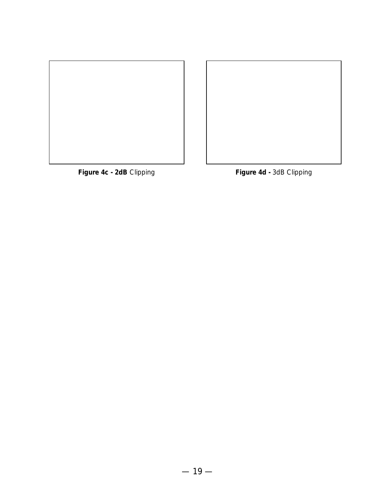

**Figure 4c - 2dB** Clipping **Figure 4d -** 3dB Clipping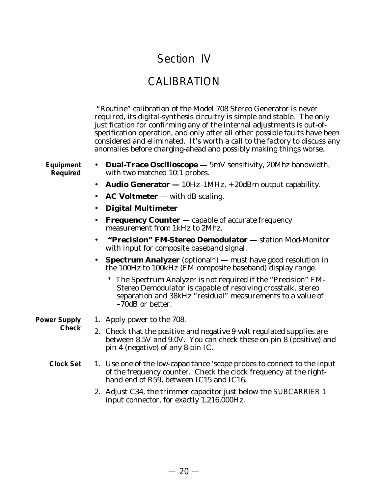# Section IV

# CALIBRATION

 "Routine" calibration of the Model 708 Stereo Generator is never required, its digital-synthesis circuitry is simple and stable. The only justification for confirming any of the internal adjustments is out-ofspecification operation, and only after all other possible faults have been considered and eliminated. It's worth a call to the factory to discuss any anomalies before charging-ahead and possibly making things worse.

**Equipment Required**

- **Dual-Trace Oscilloscope —** 5mV sensitivity, 20Mhz bandwidth, with two matched 10:1 probes.
- **Audio Generator** 10Hz-1MHz, +20dBm output capability.
- **AC Voltmeter** with dB scaling.
- **Digital Multimeter**
- **Frequency Counter** capable of accurate frequency measurement from 1kHz to 2Mhz.
- • **"Precision" FM-Stereo Demodulator —** station Mod-Monitor with input for composite baseband signal.
- **Spectrum Analyzer** (optional\*) must have good resolution in the 100Hz to 100kHz (FM composite baseband) display range.
	- \* The Spectrum Analyzer is *not* required if the "Precision" FM-Stereo Demodulator is capable of resolving crosstalk, stereo separation and 38kHz "residual" measurements to a value of –70dB or better.

**Power Supply Check**

- 1. Apply power to the 708.
	- 2. Check that the positive and negative 9-volt regulated supplies are between 8.5V and 9.0V. You can check these on pin 8 (positive) and pin 4 (negative) of any 8-pin IC.
- **Clock Set** 1. Use one of the low-capacitance 'scope probes to connect to the input of the frequency counter. Check the clock frequency at the righthand end of R59, between IC15 and IC16.
	- 2. Adjust C34, the trimmer capacitor just below the SUBCARRIER 1 input connector, for exactly 1,216,000Hz.

 $-20-$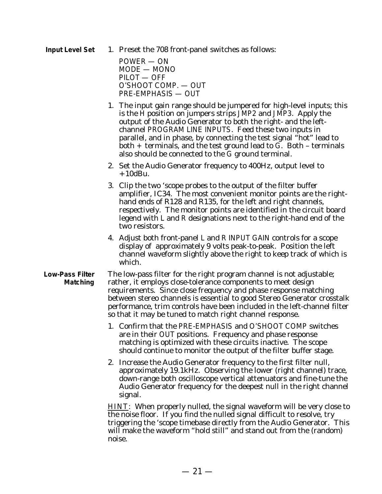**Input Level Set** 1. Preset the 708 front-panel switches as follows:

POWER — ON MODE — MONO  $PILOT = OFF$ O'SHOOT COMP. — OUT PRE-EMPHASIS — OUT

- 1. The input gain range should be jumpered for high-level inputs; this is the H position on jumpers strips JMP2 and JMP3. Apply the output of the Audio Generator to both the right- and the leftchannel PROGRAM LINE INPUTS. Feed these two inputs in parallel, and in phase, by connecting the test signal "hot" lead to both + terminals, and the test ground lead to G. Both – terminals also should be connected to the G ground terminal.
- 2. Set the Audio Generator frequency to 400Hz, output level to  $+10$ dBu.
- 3. Clip the two 'scope probes to the output of the filter buffer amplifier, IC34. The most convenient monitor points are the righthand ends of R128 and R135, for the left and right channels, respectively. The monitor points are identified in the circuit board legend with L and R designations next to the right-hand end of the two resistors.
- 4. Adjust both front-panel L and R INPUT GAIN controls for a scope display of approximately 9 volts peak-to-peak. Position the left channel waveform slightly above the right to keep track of which is which.
- **Low-Pass Filter Matching** The low-pass filter for the right program channel is not adjustable; rather, it employs close-tolerance components to meet design requirements. Since close frequency and phase response matching between stereo channels is essential to good Stereo Generator crosstalk performance, trim controls have been included in the left-channel filter so that it may be tuned to match right channel response.
	- 1. Confirm that the PRE-EMPHASIS and O'SHOOT COMP switches are in their OUT positions. Frequency and phase response matching is optimized with these circuits inactive. The scope should continue to monitor the output of the filter buffer stage.
	- 2. Increase the Audio Generator frequency to the first filter null, approximately 19.1kHz. Observing the lower (right channel) trace, down-range both oscilloscope vertical attenuators and fine-tune the Audio Generator frequency for the deepest null in the right channel signal.

*HINT*: When properly nulled, the signal waveform will be very close to the noise floor. If you find the nulled signal difficult to resolve, try triggering the 'scope timebase directly from the Audio Generator. This will make the waveform "hold still" and stand out from the (random) noise.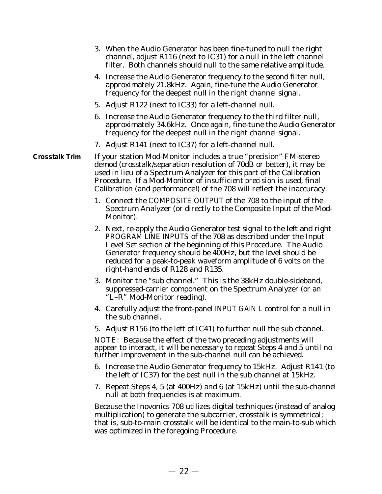- 3. When the Audio Generator has been fine-tuned to null the right channel, adjust R116 (next to IC31) for a null in the left channel filter. Both channels should null to the same relative amplitude.
- 4. Increase the Audio Generator frequency to the second filter null, approximately 21.8kHz. Again, fine-tune the Audio Generator frequency for the deepest null in the right channel signal.
- 5. Adjust R122 (next to IC33) for a left-channel null.
- 6. Increase the Audio Generator frequency to the third filter null, approximately 34.6kHz. Once again, fine-tune the Audio Generator frequency for the deepest null in the right channel signal.
- 7. Adjust R141 (next to IC37) for a left-channel null.
- **Crosstalk Trim** If your station Mod-Monitor includes a true "precision" FM-stereo demod (crosstalk/separation resolution of 70dB or better), it may be used in lieu of a Spectrum Analyzer for this part of the Calibration Procedure. If a Mod-Monitor of *insufficient precision* is used, final Calibration (and performance!) of the 708 will reflect the inaccuracy.
	- 1. Connect the COMPOSITE OUTPUT of the 708 to the input of the Spectrum Analyzer (or directly to the Composite Input of the Mod-Monitor).
	- 2. Next, re-apply the Audio Generator test signal to the left and right PROGRAM LINE INPUTS of the 708 as described under the Input Level Set section at the beginning of this Procedure. The Audio Generator frequency should be 400Hz, but the level should be reduced for a peak-to-peak waveform amplitude of 6 volts on the right-hand ends of R128 and R135.
	- 3. Monitor the "sub channel." This is the 38kHz double-sideband, suppressed-carrier component on the Spectrum Analyzer (or an "L–R" Mod-Monitor reading).
	- 4. Carefully adjust the front-panel INPUT GAIN L control for a null in the sub channel.
	- 5. Adjust R156 (to the left of IC41) to further null the sub channel.

*NOTE:* Because the effect of the two preceding adjustments will appear to interact, it will be necessary to repeat Steps 4 and 5 until no further improvement in the sub-channel null can be achieved.

- 6. Increase the Audio Generator frequency to 15kHz. Adjust R141 (to the left of IC37) for the best null in the sub channel at 15kHz.
- 7. Repeat Steps 4, 5 (at 400Hz) and 6 (at 15kHz) until the sub-channel null at both frequencies is at maximum.

Because the Inovonics 708 utilizes digital techniques (instead of analog multiplication) to generate the subcarrier, crosstalk is symmetrical; that is, sub-to-main crosstalk will be identical to the main-to-sub which was optimized in the foregoing Procedure.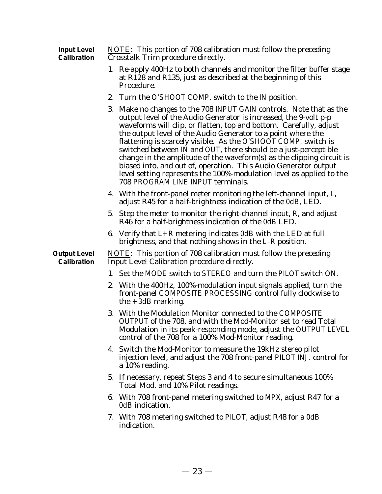| <b>Input Level</b><br>Calibration  | $\overline{NOTE}$ : This portion of 708 calibration must follow the preceding<br>Crosstalk Trim procedure directly.                                                                                                                                                                                                                                                                                                                                                                                                                                                                                                                                                         |
|------------------------------------|-----------------------------------------------------------------------------------------------------------------------------------------------------------------------------------------------------------------------------------------------------------------------------------------------------------------------------------------------------------------------------------------------------------------------------------------------------------------------------------------------------------------------------------------------------------------------------------------------------------------------------------------------------------------------------|
|                                    | 1. Re-apply 400Hz to both channels and monitor the filter buffer stage<br>at R128 and R135, just as described at the beginning of this<br>Procedure.                                                                                                                                                                                                                                                                                                                                                                                                                                                                                                                        |
|                                    | 2. Turn the O'SHOOT COMP. switch to the IN position.                                                                                                                                                                                                                                                                                                                                                                                                                                                                                                                                                                                                                        |
|                                    | 3. Make no changes to the 708 INPUT GAIN controls. Note that as the<br>output level of the Audio Generator is increased, the 9-volt p-p<br>waveforms will clip, or flatten, top and bottom. Carefully, adjust<br>the output level of the Audio Generator to a point where the<br>flattening is scarcely visible. As the O'SHOOT COMP. switch is<br>switched between IN and OUT, there should be a just-perceptible<br>change in the amplitude of the waveform(s) as the clipping circuit is<br>biased into, and out of, operation. This Audio Generator output<br>level setting represents the 100%-modulation level as applied to the<br>708 PROGRAM LINE INPUT terminals. |
|                                    | 4. With the front-panel meter monitoring the left-channel input, L,<br>adjust R45 for a <i>half-brightness</i> indication of the OdB, LED.                                                                                                                                                                                                                                                                                                                                                                                                                                                                                                                                  |
|                                    | 5. Step the meter to monitor the right-channel input, R, and adjust<br>R46 for a half-brightness indication of the OdB LED.                                                                                                                                                                                                                                                                                                                                                                                                                                                                                                                                                 |
|                                    | 6. Verify that $L + R$ metering indicates 0dB with the LED at full<br>brightness, and that nothing shows in the L-R position.                                                                                                                                                                                                                                                                                                                                                                                                                                                                                                                                               |
| <b>Output Level</b><br>Calibration | <b>NOTE:</b> This portion of 708 calibration must follow the preceding<br>Input Level Calibration procedure directly.                                                                                                                                                                                                                                                                                                                                                                                                                                                                                                                                                       |
|                                    | 1. Set the MODE switch to STEREO and turn the PILOT switch ON.                                                                                                                                                                                                                                                                                                                                                                                                                                                                                                                                                                                                              |
|                                    | 2. With the 400Hz, 100%-modulation input signals applied, turn the<br>front-panel COMPOSITE PROCESSING control fully clockwise to<br>the $+3dB$ marking.                                                                                                                                                                                                                                                                                                                                                                                                                                                                                                                    |
|                                    | 3. With the Modulation Monitor connected to the COMPOSITE<br>OUTPUT of the 708, and with the Mod-Monitor set to read Total<br>Modulation in its peak-responding mode, adjust the OUTPUT LEVEL<br>control of the 708 for a 100% Mod-Monitor reading.                                                                                                                                                                                                                                                                                                                                                                                                                         |
|                                    | 4. Switch the Mod-Monitor to measure the 19kHz stereo pilot<br>injection level, and adjust the 708 front-panel PILOT INJ. control for<br>a 10% reading.                                                                                                                                                                                                                                                                                                                                                                                                                                                                                                                     |
|                                    | 5. If necessary, repeat Steps 3 and 4 to secure simultaneous 100%<br>Total Mod. and 10% Pilot readings.                                                                                                                                                                                                                                                                                                                                                                                                                                                                                                                                                                     |
|                                    | 6. With 708 front-panel metering switched to MPX, adjust R47 for a<br>0dB indication.                                                                                                                                                                                                                                                                                                                                                                                                                                                                                                                                                                                       |
|                                    | 7. With 708 metering switched to PILOT, adjust R48 for a OdB<br>indication.                                                                                                                                                                                                                                                                                                                                                                                                                                                                                                                                                                                                 |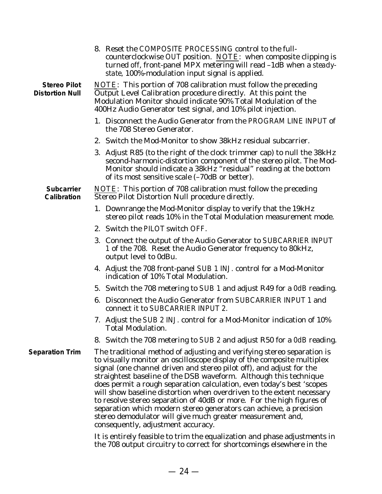|                                               | 8. Reset the COMPOSITE PROCESSING control to the full-<br>counterclockwise OUT position. NOTE: when composite clipping is<br>turned off, front-panel MPX metering will read -1dB when a steady-<br>state, 100%-modulation input signal is applied.                                                                                                                                                                                                                                                                                                                                                                                                                                                 |
|-----------------------------------------------|----------------------------------------------------------------------------------------------------------------------------------------------------------------------------------------------------------------------------------------------------------------------------------------------------------------------------------------------------------------------------------------------------------------------------------------------------------------------------------------------------------------------------------------------------------------------------------------------------------------------------------------------------------------------------------------------------|
| <b>Stereo Pilot</b><br><b>Distortion Null</b> | NOTE: This portion of 708 calibration must follow the preceding<br>Output Level Calibration procedure directly. At this point the<br>Modulation Monitor should indicate 90% Total Modulation of the<br>400Hz Audio Generator test signal, and 10% pilot injection.                                                                                                                                                                                                                                                                                                                                                                                                                                 |
|                                               | 1. Disconnect the Audio Generator from the PROGRAM LINE INPUT of<br>the 708 Stereo Generator.                                                                                                                                                                                                                                                                                                                                                                                                                                                                                                                                                                                                      |
|                                               | 2. Switch the Mod-Monitor to show 38kHz residual subcarrier.                                                                                                                                                                                                                                                                                                                                                                                                                                                                                                                                                                                                                                       |
|                                               | 3. Adjust R85 (to the right of the clock trimmer cap) to null the 38kHz<br>second-harmonic-distortion component of the stereo pilot. The Mod-<br>Monitor should indicate a 38kHz "residual" reading at the bottom<br>of its most sensitive scale (-70dB or better).                                                                                                                                                                                                                                                                                                                                                                                                                                |
| <b>Subcarrier</b><br>Calibration              | <b>NOTE:</b> This portion of 708 calibration must follow the preceding<br>Stereo Pilot Distortion Null procedure directly.                                                                                                                                                                                                                                                                                                                                                                                                                                                                                                                                                                         |
|                                               | 1. Downrange the Mod-Monitor display to verify that the 19kHz<br>stereo pilot reads 10% in the Total Modulation measurement mode.                                                                                                                                                                                                                                                                                                                                                                                                                                                                                                                                                                  |
|                                               | 2. Switch the PILOT switch OFF.                                                                                                                                                                                                                                                                                                                                                                                                                                                                                                                                                                                                                                                                    |
|                                               | 3. Connect the output of the Audio Generator to SUBCARRIER INPUT<br>1 of the 708. Reset the Audio Generator frequency to 80kHz,<br>output level to OdBu.                                                                                                                                                                                                                                                                                                                                                                                                                                                                                                                                           |
|                                               | 4. Adjust the 708 front-panel SUB 1 INJ. control for a Mod-Monitor<br>indication of 10% Total Modulation.                                                                                                                                                                                                                                                                                                                                                                                                                                                                                                                                                                                          |
|                                               | 5. Switch the 708 metering to SUB 1 and adjust R49 for a 0dB reading.                                                                                                                                                                                                                                                                                                                                                                                                                                                                                                                                                                                                                              |
|                                               | Disconnect the Audio Generator from SUBCARRIER INPUT 1 and<br>6.<br>connect it to SUBCARRIER INPUT 2.                                                                                                                                                                                                                                                                                                                                                                                                                                                                                                                                                                                              |
|                                               | 7. Adjust the SUB 2 INJ. control for a Mod-Monitor indication of 10%<br>Total Modulation.                                                                                                                                                                                                                                                                                                                                                                                                                                                                                                                                                                                                          |
|                                               | 8. Switch the 708 metering to SUB 2 and adjust R50 for a 0dB reading.                                                                                                                                                                                                                                                                                                                                                                                                                                                                                                                                                                                                                              |
| <b>Separation Trim</b>                        | The traditional method of adjusting and verifying stereo separation is<br>to visually monitor an oscilloscope display of the composite multiplex<br>signal (one channel driven and stereo pilot off), and adjust for the<br>straightest baseline of the DSB waveform. Although this technique<br>does permit a rough separation calculation, even today's best 'scopes<br>will show baseline distortion when overdriven to the extent necessary<br>to resolve stereo separation of 40dB or more. For the high figures of<br>separation which modern stereo generators can achieve, a precision<br>stereo demodulator will give much greater measurement and,<br>consequently, adjustment accuracy. |
|                                               | It is entirely feasible to trim the equalization and phase adjustments in                                                                                                                                                                                                                                                                                                                                                                                                                                                                                                                                                                                                                          |

It is entirely feasible to trim the equalization and phase adjustments in the 708 output circuitry to correct for shortcomings elsewhere in the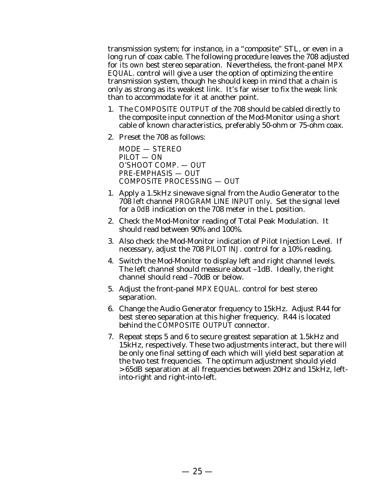transmission system; for instance, in a "composite" STL, or even in a long run of coax cable. The following procedure leaves the 708 adjusted for *its own* best stereo separation. Nevertheless, the front-panel MPX EQUAL. control will give a user the option of optimizing the entire transmission system, though he should keep in mind that a chain is only as strong as its weakest link. It's far wiser to fix the weak link than to accommodate for it at another point.

- 1. The COMPOSITE OUTPUT of the 708 should be cabled directly to the composite input connection of the Mod-Monitor using a short cable of known characteristics, preferably 50-ohm or 75-ohm coax.
- 2. Preset the 708 as follows:

MODE — STEREO PILOT — ON O'SHOOT COMP. — OUT PRE-EMPHASIS — OUT COMPOSITE PROCESSING — OUT

- 1. Apply a 1.5kHz sinewave signal from the Audio Generator to the 708 *left* channel PROGRAM LINE INPUT *only*. Set the signal level for a 0dB indication on the 708 meter in the L position.
- 2. Check the Mod-Monitor reading of Total Peak Modulation. It should read between 90% and 100%.
- 3. Also check the Mod-Monitor indication of Pilot Injection Level. If necessary, adjust the 708 PILOT INJ. control for a 10% reading.
- 4. Switch the Mod-Monitor to display left and right channel levels. The left channel should measure about –1dB. Ideally, the right channel should read –70dB or below.
- 5. Adjust the front-panel MPX EQUAL. control for best stereo separation.
- 6. Change the Audio Generator frequency to 15kHz. Adjust R44 for best stereo separation at this higher frequency. R44 is located behind the COMPOSITE OUTPUT connector.
- 7. Repeat steps 5 and 6 to secure greatest separation at 1.5kHz and 15kHz, respectively. These two adjustments interact, but there will be only one final setting of each which will yield best separation at the two test frequencies. The optimum adjustment should yield >65dB separation at all frequencies between 20Hz and 15kHz, leftinto-right and right-into-left.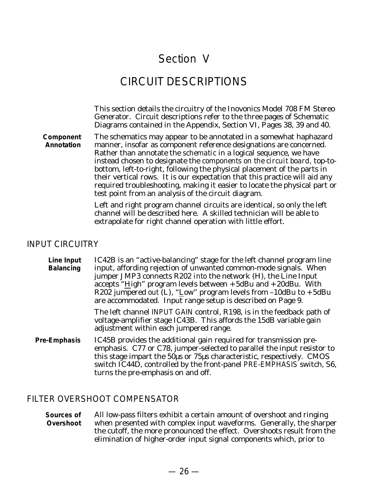# Section V

## CIRCUIT DESCRIPTIONS

This section details the circuitry of the Inovonics Model 708 FM Stereo Generator. Circuit descriptions refer to the three pages of Schematic Diagrams contained in the Appendix, Section VI, Pages 38, 39 and 40.

**Component Annotation** The schematics may appear to be annotated in a somewhat haphazard manner, insofar as component reference designations are concerned. Rather than annotate the *schematic* in a logical sequence, we have instead chosen to designate the *components on the circuit board,* top-tobottom, left-to-right, following the physical placement of the parts in their vertical rows. It is our expectation that this practice will aid any required troubleshooting, making it easier to locate the physical part or test point from an analysis of the circuit diagram.

> Left and right program channel circuits are identical, so only the left channel will be described here. A skilled technician will be able to extrapolate for right channel operation with little effort.

#### INPUT CIRCUITRY

**Line Input Balancing** IC42B is an "active-balancing" stage for the left channel program line input, affording rejection of unwanted common-mode signals. When jumper JMP3 connects R202 *into* the network (H), the Line Input accepts "High" program levels between +5dBu and +20dBu. With R202 jumpered *out* (L), "Low" program levels from –10dBu to +5dBu are accommodated. Input range setup is described on Page 9.

> The left channel INPUT GAIN control, R198, is in the feedback path of voltage-amplifier stage IC43B. This affords the 15dB variable gain adjustment within each jumpered range.

**Pre-Emphasis** IC45B provides the additional gain required for transmission preemphasis. C77 or C78, jumper-selected to parallel the input resistor to this stage impart the 50µs or 75µs characteristic, respectively. CMOS switch IC44D, controlled by the front-panel PRE-EMPHASIS switch, S6, turns the pre-emphasis on and off.

## FILTER OVERSHOOT COMPENSATOR

**Sources of Overshoot** All low-pass filters exhibit a certain amount of overshoot and ringing when presented with complex input waveforms. Generally, the sharper the cutoff, the more pronounced the effect. Overshoots result from the elimination of higher-order input signal components which, prior to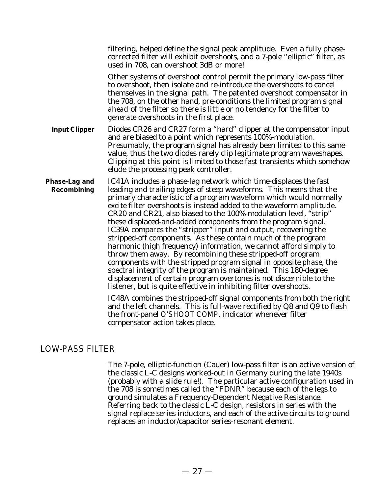|                              | filtering, helped define the signal peak amplitude. Even a fully phase-<br>corrected filter will exhibit overshoots, and a 7-pole "elliptic" filter, as<br>used in 708, can overshoot 3dB or more!                                                                                                                                                                                                                                                                                                                                                                                                                                                                                                                                                                                                                                                                                                                                                                                                                                                                                                                                                                                                                                      |
|------------------------------|-----------------------------------------------------------------------------------------------------------------------------------------------------------------------------------------------------------------------------------------------------------------------------------------------------------------------------------------------------------------------------------------------------------------------------------------------------------------------------------------------------------------------------------------------------------------------------------------------------------------------------------------------------------------------------------------------------------------------------------------------------------------------------------------------------------------------------------------------------------------------------------------------------------------------------------------------------------------------------------------------------------------------------------------------------------------------------------------------------------------------------------------------------------------------------------------------------------------------------------------|
|                              | Other systems of overshoot control permit the primary low-pass filter<br>to overshoot, then isolate and re-introduce the overshoots to cancel<br>themselves in the signal path. The patented overshoot compensator in<br>the 708, on the other hand, pre-conditions the limited program signal<br>ahead of the filter so there is little or no tendency for the filter to<br>generate overshoots in the first place.                                                                                                                                                                                                                                                                                                                                                                                                                                                                                                                                                                                                                                                                                                                                                                                                                    |
| <b>Input Clipper</b>         | Diodes CR26 and CR27 form a "hard" clipper at the compensator input<br>and are biased to a point which represents 100%-modulation.<br>Presumably, the program signal has already been limited to this same<br>value, thus the two diodes rarely clip legitimate program waveshapes.<br>Clipping at this point is limited to those fast transients which somehow<br>elude the processing peak controller.                                                                                                                                                                                                                                                                                                                                                                                                                                                                                                                                                                                                                                                                                                                                                                                                                                |
| Phase-Lag and<br>Recombining | IC41A includes a phase-lag network which time-displaces the fast<br>leading and trailing edges of steep waveforms. This means that the<br>primary characteristic of a program waveform which would normally<br>excite filter overshoots is instead added to the waveform amplitude.<br>CR20 and CR21, also biased to the 100%-modulation level, "strip"<br>these displaced-and-added components from the program signal.<br>IC39A compares the "stripper" input and output, recovering the<br>stripped-off components. As these contain much of the program<br>harmonic (high frequency) information, we cannot afford simply to<br>throw them away. By recombining these stripped-off program<br>components with the stripped program signal in opposite phase, the<br>spectral integrity of the program is maintained. This 180-degree<br>displacement of certain program overtones is not discernible to the<br>listener, but is quite effective in inhibiting filter overshoots.<br>IC48A combines the stripped-off signal components from both the right<br>and the left channels. This is full-wave rectified by Q8 and Q9 to flash<br>the front-panel O'SHOOT COMP. indicator whenever filter<br>compensator action takes place. |

## LOW-PASS FILTER

The 7-pole, elliptic-function (Cauer) low-pass filter is an active version of the classic L-C designs worked-out in Germany during the late 1940s (probably with a slide rule!). The particular active configuration used in the 708 is sometimes called the "FDNR" because each of the legs to ground simulates a Frequency-Dependent Negative Resistance. Referring back to the classic  $\angle L-C$  design, resistors in series with the signal replace series inductors, and each of the active circuits to ground replaces an inductor/capacitor series-resonant element.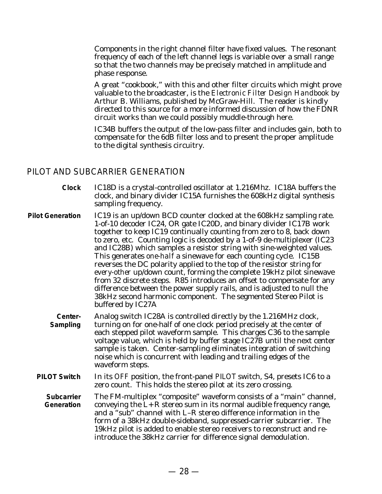Components in the right channel filter have fixed values. The resonant frequency of each of the left channel legs is variable over a small range so that the two channels may be precisely matched in amplitude and phase response.

A great "cookbook," with this and other filter circuits which might prove valuable to the broadcaster, is the *Electronic Filter Design Handbook* by Arthur B. Williams, published by McGraw-Hill. The reader is kindly directed to this source for a more informed discussion of how the FDNR circuit works than we could possibly muddle-through here.

IC34B buffers the output of the low-pass filter and includes gain, both to compensate for the 6dB filter loss and to present the proper amplitude to the digital synthesis circuitry.

#### PILOT AND SUBCARRIER GENERATION

- **Clock** IC18D is a crystal-controlled oscillator at 1.216Mhz. IC18A buffers the clock, and binary divider IC15A furnishes the 608kHz digital synthesis sampling frequency.
- **Pilot Generation** IC19 is an up/down BCD counter clocked at the 608kHz sampling rate. 1-of-10 decoder IC24, OR gate IC20D, and binary divider IC17B work together to keep IC19 continually counting from zero to 8, back down to zero, etc. Counting logic is decoded by a 1-of-9 de-multiplexer (IC23 and IC28B) which samples a resistor string with sine-weighted values. This generates *one-half* a sinewave for each counting cycle. IC15B reverses the DC polarity applied to the top of the resistor string for *every-other* up/down count, forming the complete 19kHz pilot sinewave from 32 discrete steps. R85 introduces an offset to compensate for any difference between the power supply rails, and is adjusted to null the 38kHz second harmonic component. The segmented Stereo Pilot is buffered by IC27A
	- **Center-Sampling** Analog switch IC28A is controlled directly by the 1.216MHz clock, turning on for one-half of one clock period precisely at the *center* of each stepped pilot waveform sample. This charges C36 to the sample voltage value, which is held by buffer stage IC27B until the next center sample is taken. Center-sampling eliminates integration of switching noise which is concurrent with leading and trailing edges of the waveform steps.
	- **PILOT Switch** In its OFF position, the front-panel PILOT switch, S4, presets IC6 to a zero count. This holds the stereo pilot at its zero crossing.

**Subcarrier Generation** The FM-multiplex "composite" waveform consists of a "main" channel, conveying the  $L+R$  stereo sum in its normal audible frequency range, and a "sub" channel with L–R stereo difference information in the form of a 38kHz double-sideband, suppressed-carrier subcarrier. The 19kHz pilot is added to enable stereo receivers to reconstruct and reintroduce the 38kHz carrier for difference signal demodulation.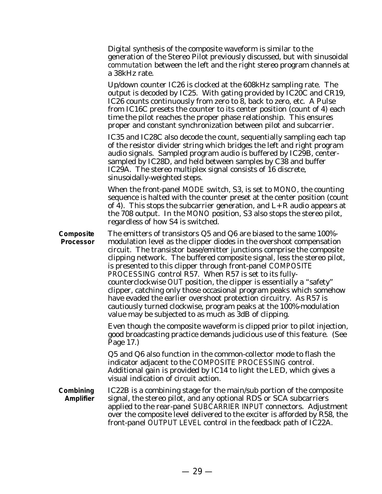Digital synthesis of the composite waveform is similar to the generation of the Stereo Pilot previously discussed, but with sinusoidal *commutation* between the left and the right stereo program channels at a 38kHz rate.

Up/down counter IC26 is clocked at the 608kHz sampling rate. The output is decoded by IC25. With gating provided by IC20C and CR19, IC26 counts continuously from zero to 8, back to zero, etc. A Pulse from IC16C presets the counter to its center position (count of 4) each time the pilot reaches the proper phase relationship. This ensures proper and constant synchronization between pilot and subcarrier.

IC35 and IC28C also decode the count, sequentially sampling each tap of the resistor divider string which bridges the left and right program audio signals. Sampled program audio is buffered by IC29B, centersampled by IC28D, and held between samples by C38 and buffer IC29A. The stereo multiplex signal consists of 16 discrete, sinusoidally-weighted steps.

When the front-panel MODE switch, S3, is set to MONO, the counting sequence is halted with the counter preset at the center position (count of 4). This stops the subcarrier generation, and  $L+R$  audio appears at the 708 output. In the MONO position, S3 also stops the stereo pilot, regardless of how S4 is switched.

**Composite Processor** The emitters of transistors Q5 and Q6 are biased to the same 100% modulation level as the clipper diodes in the overshoot compensation circuit. The transistor base/emitter junctions comprise the composite clipping network. The buffered composite signal, less the stereo pilot, is presented to this clipper through front-panel COMPOSITE PROCESSING control R57. When R57 is set to its fullycounterclockwise OUT position, the clipper is essentially a "safety" clipper, catching only those occasional program peaks which somehow have evaded the earlier overshoot protection circuitry. As R57 is cautiously turned clockwise, program peaks at the 100%-modulation value may be subjected to as much as 3dB of clipping.

> Even though the composite waveform is clipped prior to pilot injection, good broadcasting practice demands judicious use of this feature. (See Page 17.)

Q5 and Q6 also function in the common-collector mode to flash the indicator adjacent to the COMPOSITE PROCESSING control. Additional gain is provided by IC14 to light the LED, which gives a visual indication of circuit action.

**Combining Amplifier** IC22B is a combining stage for the main/sub portion of the composite signal, the stereo pilot, and any optional RDS or SCA subcarriers applied to the rear-panel SUBCARRIER INPUT connectors. Adjustment over the composite level delivered to the exciter is afforded by R58, the front-panel OUTPUT LEVEL control in the feedback path of IC22A.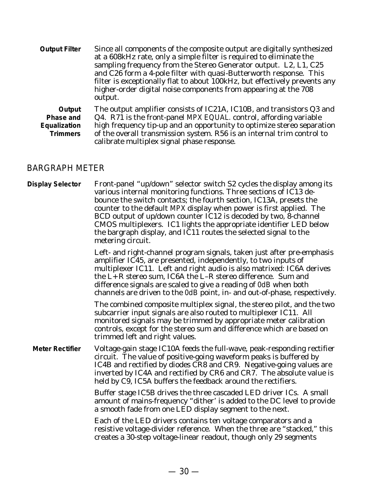| <b>Output Filter</b>                                   | Since all components of the composite output are digitally synthesized<br>at a 608kHz rate, only a simple filter is required to eliminate the<br>sampling frequency from the Stereo Generator output. L2, L1, C25<br>and C26 form a 4-pole filter with quasi-Butterworth response. This<br>filter is exceptionally flat to about 100kHz, but effectively prevents any<br>higher-order digital noise components from appearing at the 708<br>output. |
|--------------------------------------------------------|-----------------------------------------------------------------------------------------------------------------------------------------------------------------------------------------------------------------------------------------------------------------------------------------------------------------------------------------------------------------------------------------------------------------------------------------------------|
| Output<br>Phase and<br>Equalization<br><b>Trimmers</b> | The output amplifier consists of IC21A, IC10B, and transistors Q3 and<br>Q4. R71 is the front-panel MPX EQUAL. control, affording variable<br>high frequency tip-up and an opportunity to optimize stereo separation<br>of the overall transmission system. R56 is an internal trim control to<br>calibrate multiplex signal phase response.                                                                                                        |

## BARGRAPH METER

| <b>Display Selector</b> | Front-panel "up/down" selector switch S2 cycles the display among its<br>various internal monitoring functions. Three sections of IC13 de-<br>bounce the switch contacts; the fourth section, IC13A, presets the<br>counter to the default MPX display when power is first applied. The<br>BCD output of up/down counter IC12 is decoded by two, 8-channel<br>CMOS multiplexers. IC1 lights the appropriate identifier LED below<br>the bargraph display, and IC11 routes the selected signal to the<br>metering circuit. |
|-------------------------|---------------------------------------------------------------------------------------------------------------------------------------------------------------------------------------------------------------------------------------------------------------------------------------------------------------------------------------------------------------------------------------------------------------------------------------------------------------------------------------------------------------------------|
|                         | Left- and right-channel program signals, taken just after pre-emphasis<br>amplifier IC45, are presented, independently, to two inputs of<br>multiplexer IC11. Left and right audio is also matrixed: IC6A derives<br>the $L+R$ stereo sum, IC6A the $L-R$ stereo difference. Sum and<br>difference signals are scaled to give a reading of OdB when both<br>channels are driven to the OdB point, in- and out-of-phase, respectively.                                                                                     |
|                         | The combined composite multiplex signal, the stereo pilot, and the two<br>subcarrier input signals are also routed to multiplexer IC11. All<br>monitored signals may be trimmed by appropriate meter calibration<br>controls, except for the stereo sum and difference which are based on<br>trimmed left and right values.                                                                                                                                                                                               |
| <b>Meter Rectifier</b>  | Voltage-gain stage IC10A feeds the full-wave, peak-responding rectifier<br>circuit. The value of positive-going waveform peaks is buffered by<br>IC4B and rectified by diodes CR8 and CR9. Negative-going values are<br>inverted by IC4A and rectified by CR6 and CR7. The absolute value is<br>held by C9, IC5A buffers the feedback around the rectifiers.                                                                                                                                                              |
|                         | Buffer stage IC5B drives the three cascaded LED driver ICs. A small<br>amount of mains-frequency "dither' is added to the DC level to provide<br>a smooth fade from one LED display segment to the next.                                                                                                                                                                                                                                                                                                                  |
|                         | Each of the LED drivers contains ten voltage comparators and a<br>resistive voltage-divider reference. When the three are "stacked," this<br>creates a 30-step voltage-linear readout, though only 29 segments                                                                                                                                                                                                                                                                                                            |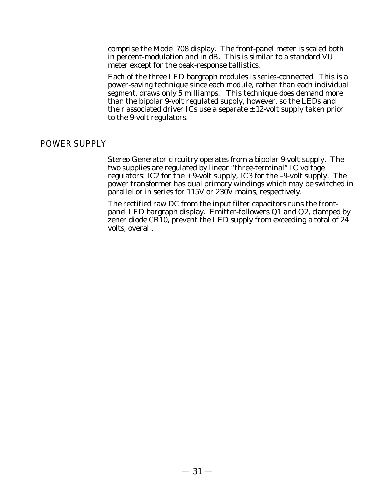comprise the Model 708 display. The front-panel meter is scaled both in percent-modulation and in dB. This is similar to a standard VU meter except for the peak-response ballistics.

Each of the three LED bargraph modules is *series*-connected. This is a power-saving technique since each *module*, rather than each individual *segment*, draws only 5 milliamps. This technique does demand more than the bipolar 9-volt regulated supply, however, so the LEDs and their associated driver ICs use a separate  $\pm$  12-volt supply taken prior to the 9-volt regulators.

#### POWER SUPPLY

Stereo Generator circuitry operates from a bipolar 9-volt supply. The two supplies are regulated by linear "three-terminal" IC voltage regulators: IC2 for the  $+9$ -volt supply, IC3 for the  $-9$ -volt supply. The power transformer has dual primary windings which may be switched in parallel or in series for 115V or 230V mains, respectively.

The rectified raw DC from the input filter capacitors runs the frontpanel LED bargraph display. Emitter-followers Q1 and Q2, clamped by zener diode CR10, prevent the LED supply from exceeding a total of 24 volts, overall.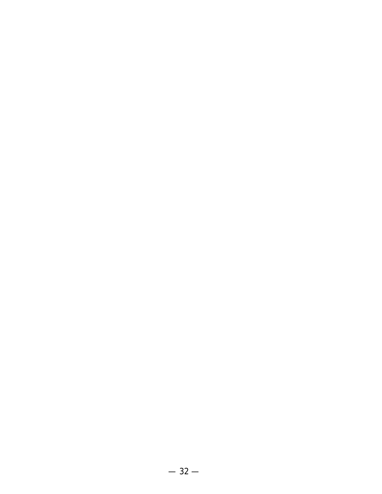$-32-$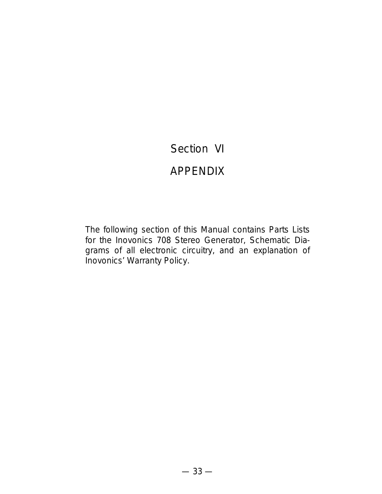# Section VI

# APPENDIX

The following section of this Manual contains Parts Lists for the Inovonics 708 Stereo Generator, Schematic Diagrams of all electronic circuitry, and an explanation of Inovonics' Warranty Policy.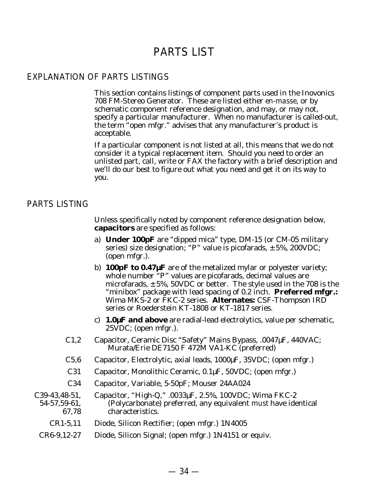# PARTS LIST

#### EXPLANATION OF PARTS LISTINGS

This section contains listings of component parts used in the Inovonics 708 FM-Stereo Generator. These are listed either *en-masse,* or by schematic component reference designation, and may, or may not, specify a particular manufacturer. When no manufacturer is called-out, the term "open mfgr." advises that any manufacturer's product is acceptable.

If a particular component is not listed at all, this means that we do not consider it a typical replacement item. Should you need to order an unlisted part, call, write or FAX the factory with a brief description and we'll do our best to figure out what you need and get it on its way to you.

#### PARTS LISTING

Unless specifically noted by component reference designation below, **capacitors** are specified as follows:

- a) **Under 100pF** are "dipped mica" type, DM-15 (or CM-05 military series) size designation; "P" value is picofarads,  $\pm$  5%, 200VDC; (open mfgr.).
- b) **100pF to 0.47µF** are of the metalized mylar or polyester variety; whole number "P" values are picofarads, decimal values are microfarads,  $\pm$  5%, 50VDC or better. The style used in the 708 is the "minibox" package with lead spacing of 0.2 inch. **Preferred mfgr.:** Wima MKS-2 or FKC-2 series. **Alternates:** CSF-Thompson IRD series or Roederstein KT-1808 or KT-1817 series.
- c) **1.0µF and above** are radial-lead electrolytics, value per schematic, 25VDC; (open mfgr.).
- C1,2 Capacitor, Ceramic Disc "Safety" Mains Bypass, .0047µF, 440VAC; Murata/Erie DE7150 F 472M VA1-KC (preferred)
- C5,6 Capacitor, Electrolytic, axial leads, 1000µF, 35VDC; (open mfgr.)
- C31 Capacitor, Monolithic Ceramic, 0.1µF, 50VDC; (open mfgr.)
- C34 Capacitor, Variable, 5-50pF; Mouser 24AA024
- C39-43,48-51, 54-57,59-61, 67,78 Capacitor, "High-Q," .0033µF, 2.5%, 100VDC; Wima FKC-2 (Polycarbonate) preferred, any equivalent *must* have identical characteristics.
	- CR1-5,11 Diode, Silicon Rectifier; (open mfgr.) 1N4005
	- CR6-9,12-27 Diode, Silicon Signal; (open mfgr.) 1N4151 or equiv.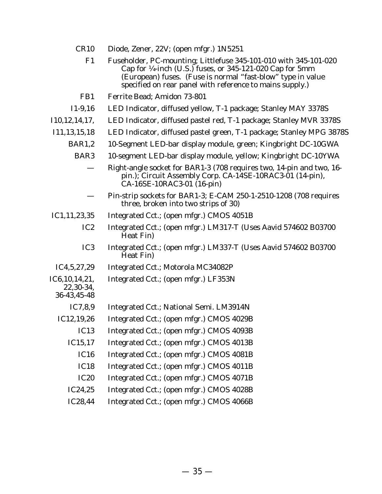| <b>CR10</b>                                  | Diode, Zener, 22V; (open mfgr.) 1N5251                                                                                                                                                                                                                              |
|----------------------------------------------|---------------------------------------------------------------------------------------------------------------------------------------------------------------------------------------------------------------------------------------------------------------------|
| F1                                           | Fuseholder, PC-mounting; Littlefuse 345-101-010 with 345-101-020<br>Cap for $\frac{1}{4}$ -inch (U.S.) fuses, or 345-121-020 Cap for 5mm<br>(European) fuses. (Fuse is normal "fast-blow" type in value<br>specified on rear panel with reference to mains supply.) |
| FB1                                          | Ferrite Bead; Amidon 73-801                                                                                                                                                                                                                                         |
| $I1-9,16$                                    | LED Indicator, diffused yellow, T-1 package; Stanley MAY 3378S                                                                                                                                                                                                      |
| 110, 12, 14, 17,                             | LED Indicator, diffused pastel red, T-1 package; Stanley MVR 3378S                                                                                                                                                                                                  |
| I11, 13, 15, 18                              | LED Indicator, diffused pastel green, T-1 package; Stanley MPG 3878S                                                                                                                                                                                                |
| <b>BAR1,2</b>                                | 10-Segment LED-bar display module, green; Kingbright DC-10GWA                                                                                                                                                                                                       |
| BAR <sub>3</sub>                             | 10-segment LED-bar display module, yellow; Kingbright DC-10YWA                                                                                                                                                                                                      |
|                                              | Right-angle socket for BAR1-3 (708 requires two, 14-pin and two, 16-<br>pin.); Circuit Assembly Corp. CA-14SE-10RAC3-01 (14-pin),<br>CA-16SE-10RAC3-01 (16-pin)                                                                                                     |
|                                              | Pin-strip sockets for BAR1-3; E-CAM 250-1-2510-1208 (708 requires<br>three, broken into two strips of 30)                                                                                                                                                           |
| IC1, 11, 23, 35                              | Integrated Cct.; (open mfgr.) CMOS 4051B                                                                                                                                                                                                                            |
| IC <sub>2</sub>                              | Integrated Cct.; (open mfgr.) LM317-T (Uses Aavid 574602 B03700<br>Heat Fin)                                                                                                                                                                                        |
| IC <sub>3</sub>                              | Integrated Cct.; (open mfgr.) LM337-T (Uses Aavid 574602 B03700<br>Heat Fin)                                                                                                                                                                                        |
| IC4, 5, 27, 29                               | Integrated Cct.; Motorola MC34082P                                                                                                                                                                                                                                  |
| IC6, 10, 14, 21,<br>22,30-34,<br>36-43,45-48 | Integrated Cct.; (open mfgr.) LF353N                                                                                                                                                                                                                                |
| IC7, 8, 9                                    | Integrated Cct.; National Semi. LM3914N                                                                                                                                                                                                                             |
| IC12,19,26                                   | Integrated Cct.; (open mfgr.) CMOS 4029B                                                                                                                                                                                                                            |
| IC13                                         | Integrated Cct.; (open mfgr.) CMOS 4093B                                                                                                                                                                                                                            |
| IC15,17                                      | Integrated Cct.; (open mfgr.) CMOS 4013B                                                                                                                                                                                                                            |
| IC16                                         | Integrated Cct.; (open mfgr.) CMOS 4081B                                                                                                                                                                                                                            |
| IC <sub>18</sub>                             | Integrated Cct.; (open mfgr.) CMOS 4011B                                                                                                                                                                                                                            |
| <b>IC20</b>                                  | Integrated Cct.; (open mfgr.) CMOS 4071B                                                                                                                                                                                                                            |
| IC24,25                                      | Integrated Cct.; (open mfgr.) CMOS 4028B                                                                                                                                                                                                                            |
| IC28,44                                      | Integrated Cct.; (open mfgr.) CMOS 4066B                                                                                                                                                                                                                            |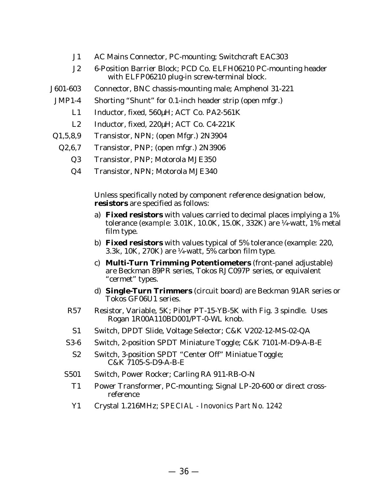- J1 AC Mains Connector, PC-mounting; Switchcraft EAC303
- J2 6-Position Barrier Block; PCD Co. ELFH06210 PC-mounting header with ELFP06210 plug-in screw-terminal block.
- J601-603 Connector, BNC chassis-mounting male; Amphenol 31-221
- JMP1-4 Shorting "Shunt" for 0.1-inch header strip (open mfgr.)
	- L1 Inductor, fixed, 560µH; ACT Co. PA2-561K
	- L2 Inductor, fixed, 220µH; ACT Co. C4-221K
- Q1,5,8,9 Transistor, NPN; (open Mfgr.) 2N3904
- Q2,6,7 Transistor, PNP; (open mfgr.) 2N3906
	- Q3 Transistor, PNP; Motorola MJE350
	- Q4 Transistor, NPN; Motorola MJE340

Unless specifically noted by component reference designation below, **resistors** are specified as follows:

- a) **Fixed resistors** with values carried to decimal places implying a 1% tolerance (*example:* 3.01K, 10.0K, 15.0K, 332K) are ¼-watt, 1% metal film type.
- b) **Fixed resistors** with values typical of 5% tolerance (example: 220, 3.3k, 10K, 270K) are  $\frac{1}{4}$ -watt, 5% carbon film type.
- c) **Multi-Turn Trimming Potentiometers** (front-panel adjustable) are Beckman 89PR series, Tokos RJC097P series, or equivalent "cermet" types.
- d) **Single-Turn Trimmers** (circuit board) are Beckman 91AR series or Tokos GF06U1 series.
- R57 Resistor, Variable, 5K; Piher PT-15-YB-5K with Fig. 3 spindle. Uses Rogan 1R00A110BD001/PT-0-WL knob.
- S1 Switch, DPDT Slide, Voltage Selector; C&K V202-12-MS-02-QA
- S3-6 Switch, 2-position SPDT Miniature Toggle; C&K 7101-M-D9-A-B-E
- S2 Switch, 3-position SPDT "Center Off" Miniatue Toggle; C&K 7105-S-D9-A-B-E
- S501 Switch, Power Rocker; Carling RA 911-RB-O-N
	- T1 Power Transformer, PC-mounting; Signal LP-20-600 or direct crossreference
	- Y1 Crystal 1.216MHz; *SPECIAL Inovonics Part No. 1242*